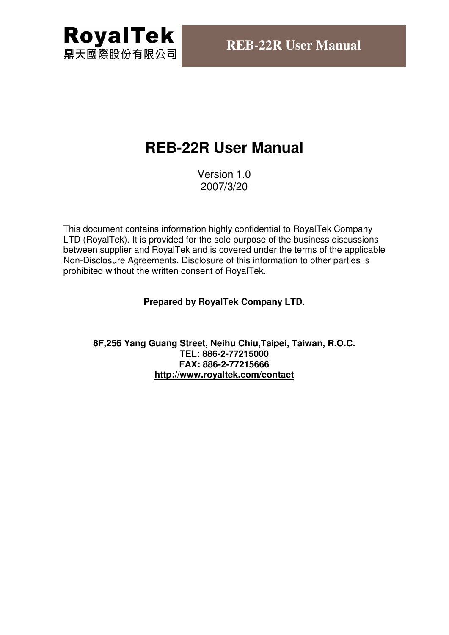

# **REB-22R User Manual**

Version 1.0 2007/3/20

This document contains information highly confidential to RoyalTek Company LTD (RoyalTek). It is provided for the sole purpose of the business discussions between supplier and RoyalTek and is covered under the terms of the applicable Non-Disclosure Agreements. Disclosure of this information to other parties is prohibited without the written consent of RoyalTek.

#### **Prepared by RoyalTek Company LTD.**

**8F,256 Yang Guang Street, Neihu Chiu,Taipei, Taiwan, R.O.C. TEL: 886-2-77215000 FAX: 886-2-77215666 http://www.royaltek.com/contact**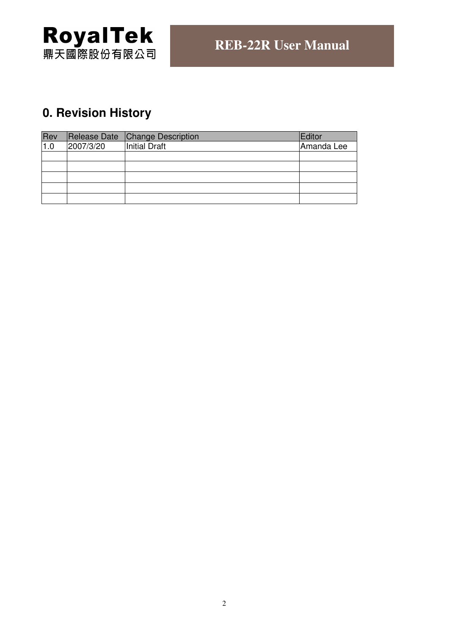

# **0. Revision History**

| Rev |           | Release Date Change Description | Editor     |
|-----|-----------|---------------------------------|------------|
| 1.0 | 2007/3/20 | Initial Draft                   | Amanda Lee |
|     |           |                                 |            |
|     |           |                                 |            |
|     |           |                                 |            |
|     |           |                                 |            |
|     |           |                                 |            |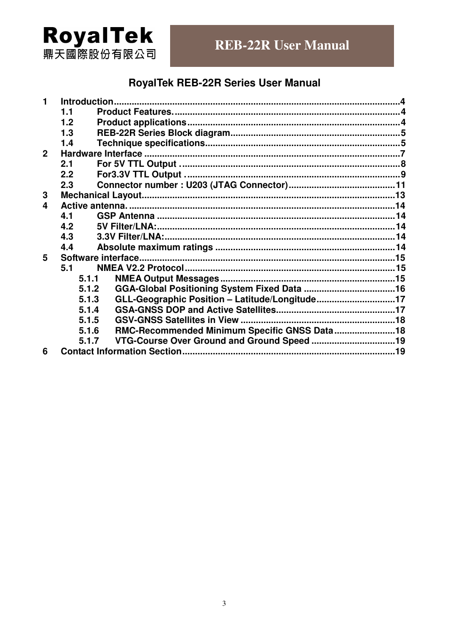# **RoyalTek**<br>鼎天國際股份有限公司

# **RoyalTek REB-22R Series User Manual**

| 1              |       |                                                |  |
|----------------|-------|------------------------------------------------|--|
|                | 1.1   |                                                |  |
|                | 1.2   |                                                |  |
|                | 1.3   |                                                |  |
|                | 1.4   |                                                |  |
| $\overline{2}$ |       |                                                |  |
|                | 2.1   |                                                |  |
|                | 2.2   |                                                |  |
|                | 2.3   |                                                |  |
| 3              |       |                                                |  |
| 4              |       |                                                |  |
|                | 4.1   |                                                |  |
|                | 4.2   |                                                |  |
|                | 4.3   |                                                |  |
|                | 4.4   |                                                |  |
| 5              |       | Software interface                             |  |
|                | 5.1   |                                                |  |
|                | 5.1.1 |                                                |  |
|                | 5.1.2 |                                                |  |
|                | 5.1.3 | GLL-Geographic Position - Latitude/Longitude17 |  |
|                | 5.1.4 |                                                |  |
|                | 5.1.5 |                                                |  |
|                | 5.1.6 | RMC-Recommended Minimum Specific GNSS Data 18  |  |
|                | 5.1.7 |                                                |  |
| 6              |       |                                                |  |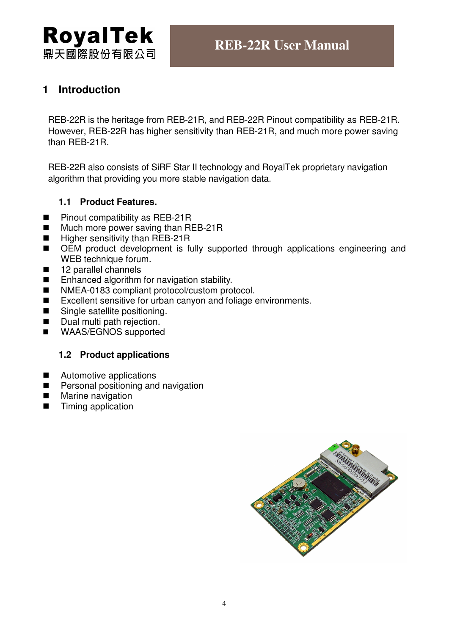

## **1 Introduction**

REB-22R is the heritage from REB-21R, and REB-22R Pinout compatibility as REB-21R. However, REB-22R has higher sensitivity than REB-21R, and much more power saving than REB-21R.

REB-22R also consists of SiRF Star II technology and RoyalTek proprietary navigation algorithm that providing you more stable navigation data.

#### **1.1 Product Features.**

- Pinout compatibility as REB-21R
- Much more power saving than REB-21R
- $\blacksquare$  Higher sensitivity than REB-21R
- OEM product development is fully supported through applications engineering and WEB technique forum.
- 12 parallel channels
- Enhanced algorithm for navigation stability.
- NMEA-0183 compliant protocol/custom protocol.
- Excellent sensitive for urban canyon and foliage environments.
- Single satellite positioning.
- Dual multi path rejection.
- **NAAS/EGNOS** supported

#### **1.2 Product applications**

- Automotive applications
- **Personal positioning and navigation**
- **Marine navigation**
- Timing application

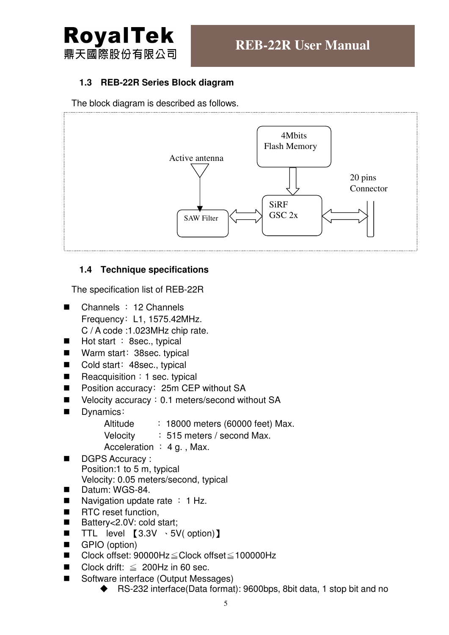

#### **1.3 REB-22R Series Block diagram**

The block diagram is described as follows.



#### **1.4 Technique specifications**

The specification list of REB-22R

- Channels ﹕12 Channels Frequency: L1, 1575.42MHz. C / A code :1.023MHz chip rate.
- $\blacksquare$  Hot start : 8sec., typical
- Warm start: 38sec. typical
- Cold start: 48sec., typical
- Reacquisition: 1 sec. typical
- Position accuracy: 25m CEP without SA
- Velocity accuracy: 0.1 meters/second without SA
- Dynamics:

Altitude : 18000 meters (60000 feet) Max.

- Velocity : 515 meters / second Max.
- Acceleration  $: 4 g.$ , Max.
- DGPS Accuracy : Position:1 to 5 m, typical Velocity: 0.05 meters/second, typical
- Datum: WGS-84.
- Navigation update rate  $\div$  1 Hz.
- RTC reset function.
- Battery<2.0V: cold start;
- TTL level  $[3.3V \cdot 5V($  option)]
- GPIO (option)
- Clock offset: 90000Hz≦Clock offset≦100000Hz
- Clock drift:  $\leq$  200Hz in 60 sec.
- Software interface (Output Messages)
	- ◆ RS-232 interface(Data format): 9600bps, 8bit data, 1 stop bit and no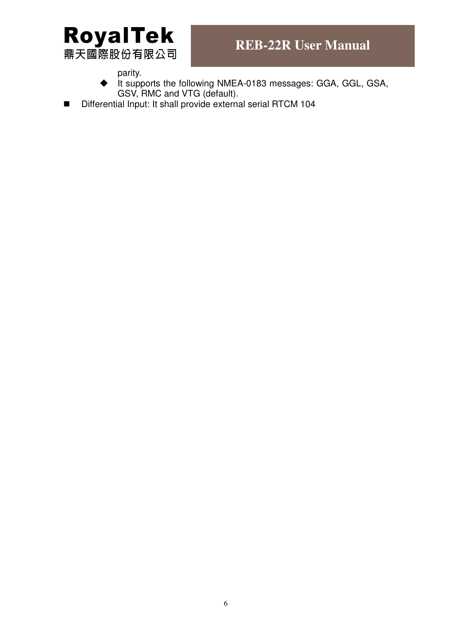

parity.

- $\bullet$  it supports the following NMEA-0183 messages: GGA, GGL, GSA, GSV, RMC and VTG (default).
- Differential Input: It shall provide external serial RTCM 104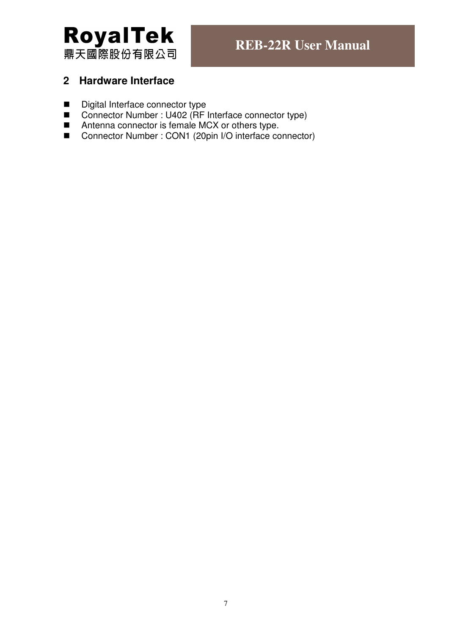

## **2 Hardware Interface**

- Digital Interface connector type
- Connector Number : U402 (RF Interface connector type)
- Antenna connector is female MCX or others type.
- Connector Number : CON1 (20pin I/O interface connector)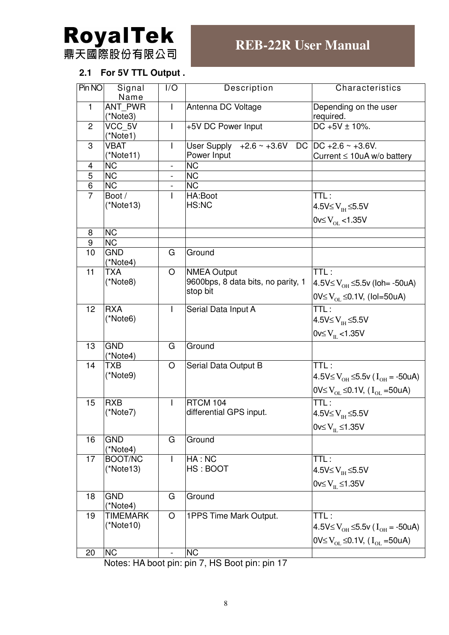

## **2.1 For 5V TTL Output .**

| Pin NO         | Signal<br>Name             | I/O                      | Description                                  | Characteristics                                                           |
|----------------|----------------------------|--------------------------|----------------------------------------------|---------------------------------------------------------------------------|
| $\mathbf{1}$   | <b>ANT PWR</b><br>(*Note3) | $\overline{\phantom{a}}$ | Antenna DC Voltage                           | Depending on the user<br>required.                                        |
| $\overline{2}$ | VCC 5V<br>(*Note1)         | I                        | +5V DC Power Input                           | $DC + 5V \pm 10\%$ .                                                      |
| 3              | <b>VBAT</b>                | $\mathsf{l}$             | User Supply +2.6 ~ +3.6V DC DC +2.6 ~ +3.6V. |                                                                           |
|                | $(*Note11)$                |                          | Power Input                                  | Current $\leq 10$ uA w/o battery                                          |
| 4              | <b>NC</b>                  | $\overline{a}$           | <b>NC</b>                                    |                                                                           |
| $\overline{5}$ | $\overline{\text{NC}}$     | -                        | <b>NC</b>                                    |                                                                           |
| $\overline{6}$ | $\overline{\text{NC}}$     | $\overline{\phantom{0}}$ | <b>NC</b>                                    |                                                                           |
| $\overline{7}$ | Boot /                     | L                        | HA:Boot                                      | TTL:                                                                      |
|                | $(*Note13)$                |                          | HS:NC                                        | $4.5V \leq V_{IH} \leq 5.5V$                                              |
|                |                            |                          |                                              |                                                                           |
|                |                            |                          |                                              | 0v≤ $V_{OL}$ <1.35V                                                       |
| 8              | <b>NC</b>                  |                          |                                              |                                                                           |
| 9              | <b>NC</b>                  |                          |                                              |                                                                           |
| 10             | <b>GND</b>                 | G                        | Ground                                       |                                                                           |
|                | (*Note4)                   |                          |                                              |                                                                           |
| 11             | <b>TXA</b>                 | O                        | <b>NMEA Output</b>                           | TTL:                                                                      |
|                | (*Note8)                   |                          | 9600bps, 8 data bits, no parity, 1           | $4.5V≤V_{OH}≤5.5v$ (loh= -50uA)                                           |
|                |                            |                          | stop bit                                     |                                                                           |
|                |                            |                          |                                              | $\textsf{OV}\leq\!\text{V}_{\text{OL}}\!\leq\!\!0.1\text{V}$ , (Iol=50uA) |
| 12             | <b>RXA</b>                 | I                        | Serial Data Input A                          | TTL:                                                                      |
|                | (*Note6)                   |                          |                                              | $4.5V \leq V_{\text{TH}} \leq 5.5V$                                       |
|                |                            |                          |                                              |                                                                           |
|                |                            |                          |                                              | $0$ v≤ V <sub>II.</sub> <1.35V                                            |
| 13             | <b>GND</b><br>(*Note4)     | G                        | Ground                                       |                                                                           |
| 14             | TXB                        | O                        | Serial Data Output B                         | TTL:                                                                      |
|                | (*Note9)                   |                          |                                              | 4.5V≤ $V_{OH}$ ≤5.5v ( $I_{OH}$ = -50uA)                                  |
|                |                            |                          |                                              |                                                                           |
|                |                            |                          |                                              | 0V≤ V <sub>OL</sub> ≤0.1V, (I <sub>OL</sub> =50uA)                        |
| 15             | <b>RXB</b>                 | I                        | <b>RTCM 104</b>                              | TTL:                                                                      |
|                | (*Note7)                   |                          | differential GPS input.                      | $4.5V \leq V_{\text{IH}} \leq 5.5V$                                       |
|                |                            |                          |                                              |                                                                           |
|                |                            |                          |                                              | 0 $v \leq V_{\text{IL}} \leq 1.35V$                                       |
| 16             | <b>GND</b>                 | G                        | Ground                                       |                                                                           |
|                | (*Note4)                   |                          |                                              |                                                                           |
| 17             | BOOT/NC                    | I                        | HA: NC                                       | TTL:                                                                      |
|                | $(*Note13)$                |                          | HS: BOOT                                     | $4.5V \leq V_{\text{TH}} \leq 5.5V$                                       |
|                |                            |                          |                                              |                                                                           |
|                |                            |                          |                                              | 0 $v \leq V_{\text{IL}} \leq 1.35V$                                       |
| 18             | <b>GND</b>                 | G                        | Ground                                       |                                                                           |
|                | (*Note4)                   |                          |                                              |                                                                           |
| 19             | <b>TIMEMARK</b>            | O                        | 1PPS Time Mark Output.                       | TTL:                                                                      |
|                | $(*Note10)$                |                          |                                              | $4.5V≤V_{OH}≤5.5v (I_{OH} = -50uA)$                                       |
|                |                            |                          |                                              | $\sqrt{0}$ OV≤ V <sub>OL</sub> ≤0.1V, (I <sub>OL</sub> =50uA)             |
|                |                            |                          |                                              |                                                                           |
| 20             | <b>NC</b>                  | $\overline{\phantom{0}}$ | <b>NC</b>                                    |                                                                           |

Notes: HA boot pin: pin 7, HS Boot pin: pin 17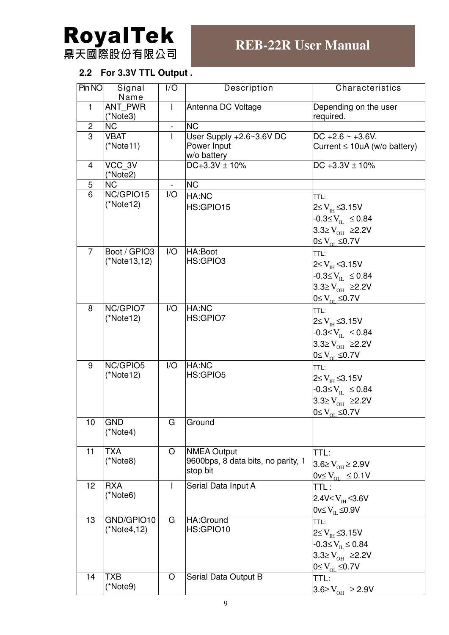

# **2.2 For 3.3V TTL Output .**

| Pin NO         | Signal<br>Name             | I/O                     | Description                        | Characteristics                     |
|----------------|----------------------------|-------------------------|------------------------------------|-------------------------------------|
| $\mathbf{1}$   | <b>ANT PWR</b><br>(*Note3) |                         | Antenna DC Voltage                 | Depending on the user<br>required.  |
| $\overline{2}$ | <b>NC</b>                  |                         | <b>NC</b>                          |                                     |
| $\overline{3}$ | <b>VBAT</b>                |                         | User Supply +2.6~3.6V DC           | DC +2.6 $\sim$ +3.6V.               |
|                | (*Note11)                  |                         | Power Input<br>w/o battery         | Current $\leq 10uA$ (w/o battery)   |
| 4              | VCC_3V<br>(*Note2)         |                         | $DC + 3.3V \pm 10\%$               | DC +3.3V $\pm$ 10%                  |
| 5              | <b>NC</b>                  |                         | <b>NC</b>                          |                                     |
| 6              | NC/GPIO15                  | I/O                     | HA:NC                              | TTL:                                |
|                | $(*Note12)$                |                         | HS:GPIO15                          | $2 \leq V_{\text{IH}} \leq 3.15V$   |
|                |                            |                         |                                    | $-0.3 \leq V_{\text{IL}} \leq 0.84$ |
|                |                            |                         |                                    | 3.3≥ $V_{OH}$ ≥2.2V                 |
|                |                            |                         |                                    |                                     |
| $\overline{7}$ |                            |                         |                                    | $0 \leq V_{OL} \leq 0.7V$           |
|                | Boot / GPIO3               | I/O                     | HA:Boot<br>HS:GPIO3                | TTL:                                |
|                | (*Note13,12)               |                         |                                    | $2≤V_{\text{H}}≤3.15V$              |
|                |                            |                         |                                    | $-0.3 \leq V_{\text{H}} \leq 0.84$  |
|                |                            |                         |                                    | 3.3≥ $V_{OH}$ ≥2.2V                 |
|                |                            |                         |                                    | $0 \leq V_{OL} \leq 0.7V$           |
| 8              | NC/GPIO7                   | $\mathsf{I}/\mathsf{O}$ | HA:NC                              | TTL:                                |
|                | (*Note12)                  |                         | HS:GPIO7                           | $2≤V_{H}≤3.15V$                     |
|                |                            |                         |                                    |                                     |
|                |                            |                         |                                    | $-0.3 \leq V_{\text{H}} \leq 0.84$  |
|                |                            |                         |                                    | 3.3≥ $V_{OH}$ ≥2.2V                 |
|                |                            |                         |                                    | $0 \leq V_{OL} \leq 0.7V$           |
| 9              | NC/GPIO5                   | I/O                     | HA:NC                              | TTL:                                |
|                | (*Note12)                  |                         | HS:GPIO5                           | $2 \leq V_{\text{H}} \leq 3.15V$    |
|                |                            |                         |                                    | $-0.3 \le V_{\text{IL}} \le 0.84$   |
|                |                            |                         |                                    | $3.3≥V_{OH}$ ≥2.2V                  |
|                |                            |                         |                                    | $0 \leq V_{OL} \leq 0.7V$           |
| 10             | <b>GND</b>                 | G                       | Ground                             |                                     |
|                | (*Note4)                   |                         |                                    |                                     |
|                |                            |                         |                                    |                                     |
| 11             | <b>TXA</b>                 | O                       | <b>NMEA Output</b>                 | TTL:                                |
|                | (*Note8)                   |                         | 9600bps, 8 data bits, no parity, 1 | $3.6 \ge V_{OH} \ge 2.9 V$          |
|                |                            |                         | stop bit                           |                                     |
|                |                            |                         |                                    | $0v \le V_{\text{or}} \le 0.1V$     |
| 12             | <b>RXA</b>                 |                         | Serial Data Input A                | TTL:                                |
|                | (*Note6)                   |                         |                                    | $2.4V \leq VTH \leq 3.6V$           |
|                |                            |                         |                                    | $0v \le V_{\text{H}} \le 0.9V$      |
| 13             | GND/GPIO10                 | G                       | HA:Ground                          | TTL:                                |
|                | (*Note4,12)                |                         | HS:GPIO10                          | $2 \leq V_{\text{TH}} \leq 3.15V$   |
|                |                            |                         |                                    | $-0.3 \le V_{\text{IL}} \le 0.84$   |
|                |                            |                         |                                    |                                     |
|                |                            |                         |                                    | 3.3≥ $V_{OH}$ ≥2.2V                 |
|                |                            |                         |                                    | $0 \leq V_{OL} \leq 0.7V$           |
| 14             | <b>TXB</b>                 | O                       | Serial Data Output B               | TTL:                                |
|                | (*Note9)                   |                         |                                    | $3.6 \ge V_{OH} \ge 2.9 V$          |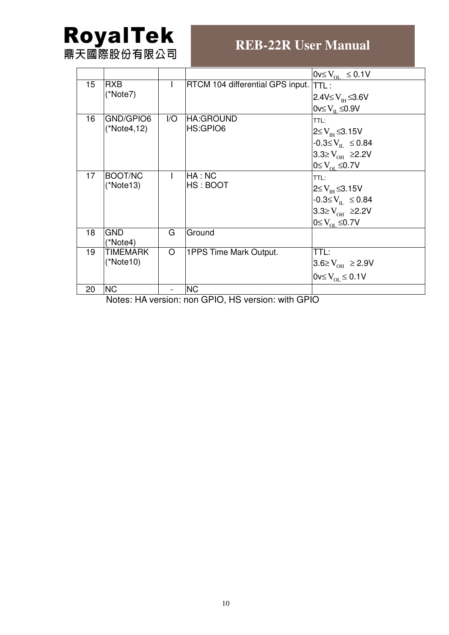# **RoyalTek**<br>鼎天國際股份有限公司

# **REB-22R User Manual**

|    |                       |     |                                  | $0v \le V_{\text{or}} \le 0.1V$  |
|----|-----------------------|-----|----------------------------------|----------------------------------|
| 15 | <b>RXB</b>            |     | RTCM 104 differential GPS input. | ITIL:                            |
|    | (*Note7)              |     |                                  | $2.4$ V≤ $V_{\text{H}}$ ≤3.6V    |
|    |                       |     |                                  | $0v \le V_{\text{H}} \le 0.9V$   |
| 16 | GND/GPIO6             | 1/O | <b>HA:GROUND</b>                 | TTL:                             |
|    | (*Note4,12)           |     | HS:GPIO6                         | $2 \leq V_{\text{H}} \leq 3.15V$ |
|    |                       |     |                                  | $-0.3 \le V_{\text{H}} \le 0.84$ |
|    |                       |     |                                  | $3.3≥V_{OH}$ ≥2.2V               |
|    |                       |     |                                  | $0 \leq V_{\text{or}} \leq 0.7V$ |
| 17 | BOOT/NC               |     | HA:NC                            | TTL:                             |
|    | (*Note13)             |     | HS: BOOT                         | $2 \leq V_{\text{H}} \leq 3.15V$ |
|    |                       |     |                                  | $-0.3 \le V_{\text{H}} \le 0.84$ |
|    |                       |     |                                  | 3.3≥ $V_{OH}$ ≥2.2V              |
|    |                       |     |                                  | $0 \leq V_{\text{or}} \leq 0.7V$ |
| 18 | <b>GND</b>            | G   | Ground                           |                                  |
|    | (*Note4)              |     |                                  |                                  |
| 19 | TIMEMARK<br>(*Note10) | O   | 1PPS Time Mark Output.           | TTL:                             |
|    |                       |     |                                  | $3.6 \ge V_{OH} \ge 2.9 V$       |
|    |                       |     |                                  | $0v \le V_{\text{or}} \le 0.1V$  |
| 20 | <b>NC</b>             |     | <b>NC</b>                        |                                  |

Notes: HA version: non GPIO, HS version: with GPIO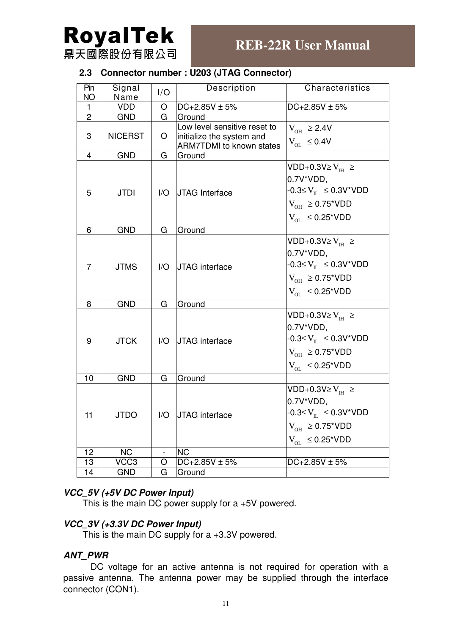

#### **2.3 Connector number : U203 (JTAG Connector)**

| Pin<br>NO.     | Signal<br>Name | I/O                    | Description                                                                                  | Characteristics                                                                                                                                               |
|----------------|----------------|------------------------|----------------------------------------------------------------------------------------------|---------------------------------------------------------------------------------------------------------------------------------------------------------------|
| 1              | <b>VDD</b>     | O                      | $DC+2.85V \pm 5%$                                                                            | $DC+2.85V \pm 5%$                                                                                                                                             |
| $\overline{2}$ | <b>GND</b>     | G                      | Ground                                                                                       |                                                                                                                                                               |
| 3              | <b>NICERST</b> | O                      | Low level sensitive reset to<br>initialize the system and<br><b>ARM7TDMI</b> to known states | $V_{OH} \ge 2.4V$<br>$V_{OL} \leq 0.4V$                                                                                                                       |
| $\overline{4}$ | <b>GND</b>     | G                      | Ground                                                                                       |                                                                                                                                                               |
| 5              | <b>JTDI</b>    | 1/O                    | JTAG Interface                                                                               | VDD+0.3V $\geq$ V <sub>IH</sub> $\geq$<br>0.7V*VDD,<br>$-0.3 \le V_{\text{H}} \le 0.3 V^* VDD$<br>$V_{OH} \geq 0.75$ *VDD<br>$V_{OL} \leq 0.25$ *VDD          |
| 6              | <b>GND</b>     | G                      | Ground                                                                                       |                                                                                                                                                               |
| 7              | <b>JTMS</b>    | $\overline{1/O}$       | <b>JTAG</b> interface                                                                        | VDD+0.3V $\geq$ V <sub>IH</sub> $\geq$<br>$0.7V^*VDD.$<br>$-0.3 \le V_{\text{H}} \le 0.3 V^* VDD$<br>$V_{OH} \ge 0.75$ *VDD<br>$V_{\text{OL}} \leq 0.25$ *VDD |
| 8              | <b>GND</b>     | G                      | Ground                                                                                       |                                                                                                                                                               |
| 9              | <b>JTCK</b>    | $\mathsf{U}\mathsf{O}$ | <b>JTAG</b> interface                                                                        | VDD+0.3V $\geq$ V <sub>IH</sub> $\geq$<br>0.7V*VDD,<br>$-0.3 \leq V_{\text{IL}} \leq 0.3 V^* VDD$<br>$V_{OH} \ge 0.75$ *VDD<br>$V_{OL} \leq 0.25$ *VDD        |
| 10             | <b>GND</b>     | G                      | Ground                                                                                       |                                                                                                                                                               |
| 11             | <b>JTDO</b>    |                        | I/O IJTAG interface                                                                          | VDD+0.3V $\geq$ V <sub>IH</sub> $\geq$<br>0.7V*VDD,<br>$-0.3 \le V_{\text{IL}} \le 0.3 V^* VDD$<br>$V_{OH} \geq 0.75$ *VDD<br>$V_{OL}$ $\leq 0.25$ *VDD       |
| 12             | <b>NC</b>      |                        | <b>NC</b>                                                                                    |                                                                                                                                                               |
| 13             | VCC3           | O                      | $DC + 2.85V \pm 5%$                                                                          | $DC+2.85V \pm 5%$                                                                                                                                             |
| 14             | <b>GND</b>     | G                      | Ground                                                                                       |                                                                                                                                                               |

#### **VCC\_5V (+5V DC Power Input)**

This is the main DC power supply for a +5V powered.

#### **VCC\_3V (+3.3V DC Power Input)**

This is the main DC supply for a +3.3V powered.

#### **ANT\_PWR**

DC voltage for an active antenna is not required for operation with a passive antenna. The antenna power may be supplied through the interface connector (CON1).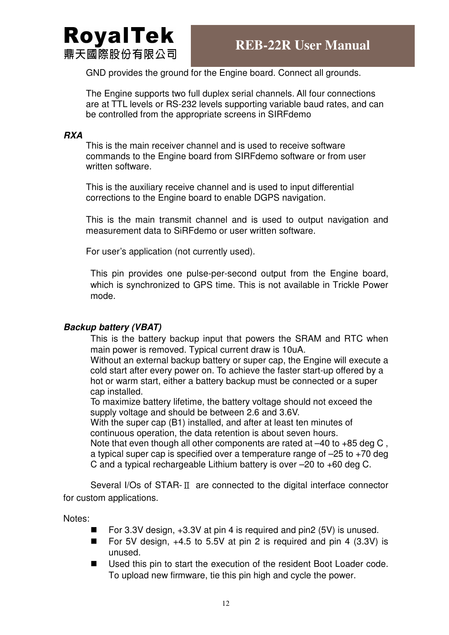

GND provides the ground for the Engine board. Connect all grounds.

The Engine supports two full duplex serial channels. All four connections are at TTL levels or RS-232 levels supporting variable baud rates, and can be controlled from the appropriate screens in SIRFdemo

#### **RXA**

This is the main receiver channel and is used to receive software commands to the Engine board from SIRFdemo software or from user written software.

This is the auxiliary receive channel and is used to input differential corrections to the Engine board to enable DGPS navigation.

This is the main transmit channel and is used to output navigation and measurement data to SiRFdemo or user written software.

For user's application (not currently used).

This pin provides one pulse-per-second output from the Engine board, which is synchronized to GPS time. This is not available in Trickle Power mode.

#### **Backup battery (VBAT)**

This is the battery backup input that powers the SRAM and RTC when main power is removed. Typical current draw is 10uA.

Without an external backup battery or super cap, the Engine will execute a cold start after every power on. To achieve the faster start-up offered by a hot or warm start, either a battery backup must be connected or a super cap installed.

To maximize battery lifetime, the battery voltage should not exceed the supply voltage and should be between 2.6 and 3.6V.

With the super cap (B1) installed, and after at least ten minutes of continuous operation, the data retention is about seven hours.

Note that even though all other components are rated at –40 to +85 deg C , a typical super cap is specified over a temperature range of  $-25$  to  $+70$  deg C and a typical rechargeable Lithium battery is over –20 to +60 deg C.

Several I/Os of STAR-Ⅱ are connected to the digital interface connector for custom applications.

Notes:

- For 3.3V design,  $+3.3V$  at pin 4 is required and pin2 (5V) is unused.
- For 5V design,  $+4.5$  to 5.5V at pin 2 is required and pin 4 (3.3V) is unused.
- Used this pin to start the execution of the resident Boot Loader code. To upload new firmware, tie this pin high and cycle the power.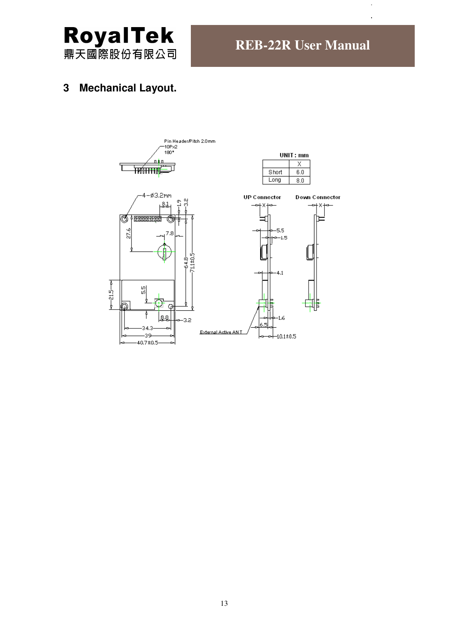

# **3 Mechanical Layout.**

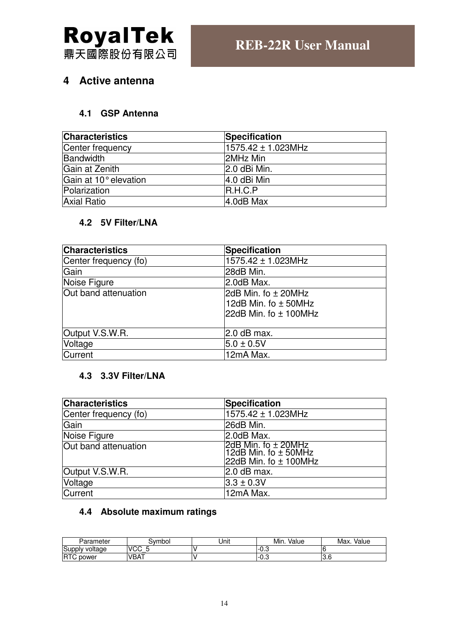

## **4 Active antenna**

#### **4.1 GSP Antenna**

| <b>Characteristics</b> | Specification      |
|------------------------|--------------------|
| Center frequency       | 1575.42 ± 1.023MHz |
| Bandwidth              | 2MHz Min           |
| Gain at Zenith         | 2.0 dBi Min.       |
| Gain at 10° elevation  | 4.0 dBi Min        |
| Polarization           | IR.H.C.P           |
| <b>Axial Ratio</b>     | 4.0dB Max          |

#### **4.2 5V Filter/LNA**

| <b>Characteristics</b> | <b>Specification</b>                                                                |
|------------------------|-------------------------------------------------------------------------------------|
| Center frequency (fo)  | 1575.42 ± 1.023MHz                                                                  |
| Gain                   | 28dB Min.                                                                           |
| Noise Figure           | 2.0dB Max.                                                                          |
| Out band attenuation   | 2dB Min. fo $\pm$ 20MHz<br>12dB Min. fo $\pm$ 50MHz<br>$ 22dB$ Min. fo $\pm$ 100MHz |
| Output V.S.W.R.        | $2.0$ dB max.                                                                       |
| Voltage                | $5.0 \pm 0.5$ V                                                                     |
| <b>Current</b>         | 12mA Max.                                                                           |

#### **4.3 3.3V Filter/LNA**

| <b>Characteristics</b> | <b>Specification</b>                                                      |
|------------------------|---------------------------------------------------------------------------|
| Center frequency (fo)  | 1575.42 ± 1.023MHz                                                        |
| Gain                   | 26dB Min.                                                                 |
| Noise Figure           | $2.0dB$ Max.                                                              |
| Out band attenuation   | 2dB Min. fo ± 20MHz<br> 12dB Min. fo ± 50MHz<br>22dB Min. fo $\pm$ 100MHz |
| Output V.S.W.R.        | 2.0 dB max.                                                               |
| Voltage                | $3.3 \pm 0.3V$                                                            |
| Current                | 12mA Max.                                                                 |

## **4.4 Absolute maximum ratings**

| Parameter            | Svmbol         | Unit | Min.<br>Value | Max.<br>Value |
|----------------------|----------------|------|---------------|---------------|
| Supply voltage       | VCC.<br>-<br>w |      | <u>ັ</u> −∪.ບ |               |
| <b>IRTC</b><br>power | <b>VBAT</b>    |      | ·−∪.ບ         | o.u           |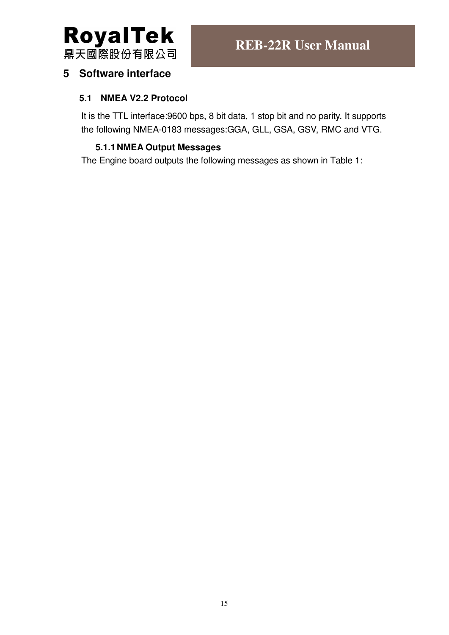

## **5 Software interface**

#### **5.1 NMEA V2.2 Protocol**

It is the TTL interface:9600 bps, 8 bit data, 1 stop bit and no parity. It supports the following NMEA-0183 messages:GGA, GLL, GSA, GSV, RMC and VTG.

#### **5.1.1 NMEA Output Messages**

The Engine board outputs the following messages as shown in Table 1: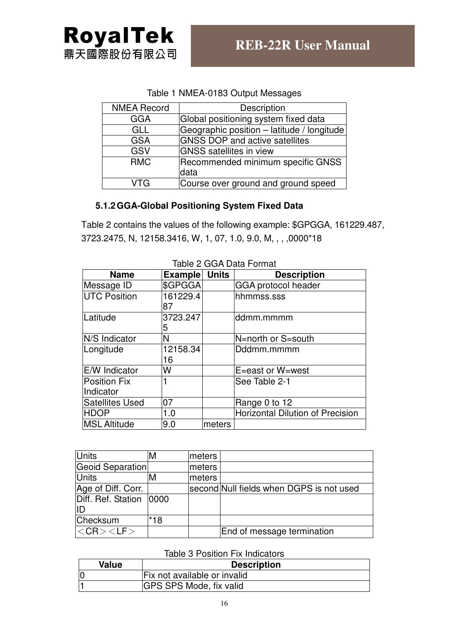#### Table 1 NMEA-0183 Output Messages

| <b>NMEA Record</b> | Description                                |
|--------------------|--------------------------------------------|
| <b>GGA</b>         | Global positioning system fixed data       |
| GLL                | Geographic position - latitude / longitude |
| <b>GSA</b>         | <b>GNSS DOP and active satellites</b>      |
| GSV                | <b>GNSS</b> satellites in view             |
| <b>RMC</b>         | Recommended minimum specific GNSS<br>data  |
| VTG                | Course over ground and ground speed        |

#### **5.1.2 GGA-Global Positioning System Fixed Data**

Table 2 contains the values of the following example: \$GPGGA, 161229.487, 3723.2475, N, 12158.3416, W, 1, 07, 1.0, 9.0, M, , , ,0000\*18

| <b>Name</b>            | <b>Example Units</b> |        | <b>Description</b>                      |  |
|------------------------|----------------------|--------|-----------------------------------------|--|
| Message ID             | \$GPGGA              |        | GGA protocol header                     |  |
| <b>UTC Position</b>    | 161229.4             |        | hhmmss.sss                              |  |
|                        | 87                   |        |                                         |  |
| Latitude               | 3723.247             |        | ddmm.mmmm                               |  |
|                        | 5                    |        |                                         |  |
| N/S Indicator          | N                    |        | N=north or S=south                      |  |
| Longitude              | 12158.34             |        | Dddmm.mmmm                              |  |
|                        | 16                   |        |                                         |  |
| E/W Indicator          | W                    |        | E=east or W=west                        |  |
| <b>Position Fix</b>    |                      |        | See Table 2-1                           |  |
| Indicator              |                      |        |                                         |  |
| <b>Satellites Used</b> | 07                   |        | Range 0 to 12                           |  |
| <b>HDOP</b>            | 1.0                  |        | <b>Horizontal Dilution of Precision</b> |  |
| <b>MSL Altitude</b>    | 9.0                  | meters |                                         |  |

#### Table 2 GGA Data Format

| <b>Units</b>             | M   | meters |                                          |
|--------------------------|-----|--------|------------------------------------------|
| Geoid Separation         |     | meters |                                          |
| <b>Units</b>             | м   | meters |                                          |
| Age of Diff. Corr.       |     |        | second Null fields when DGPS is not used |
| Diff. Ref. Station  0000 |     |        |                                          |
| lID                      |     |        |                                          |
| Checksum                 | *18 |        |                                          |
| $ <$ CR $>$ $<$ LF $>$   |     |        | End of message termination               |

#### Table 3 Position Fix Indicators

| <b>Value</b> | <b>Description</b>             |  |  |  |
|--------------|--------------------------------|--|--|--|
|              | Fix not available or invalid   |  |  |  |
|              | <b>GPS SPS Mode, fix valid</b> |  |  |  |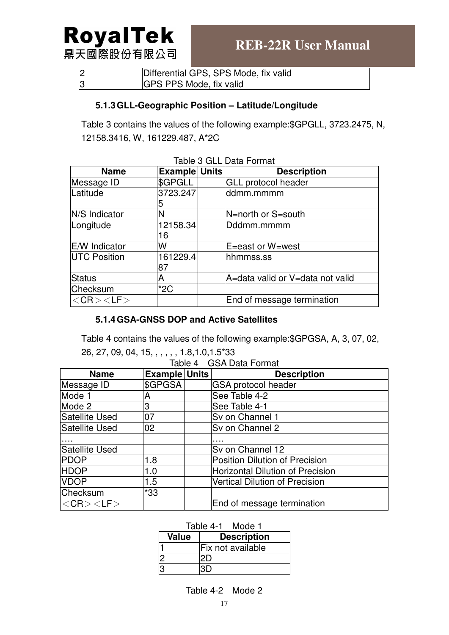# **RoyalTek** 鼎天國際股份有限公司

| 2              | Differential GPS, SPS Mode, fix valid |
|----------------|---------------------------------------|
| $\overline{3}$ | <b>GPS PPS Mode, fix valid</b>        |

#### **5.1.3 GLL-Geographic Position – Latitude/Longitude**

Table 3 contains the values of the following example:\$GPGLL, 3723.2475, N, 12158.3416, W, 161229.487, A\*2C

| <b>Name</b>            | <b>Example Units</b> | <b>Description</b>               |
|------------------------|----------------------|----------------------------------|
| Message ID             | \$GPGLL              | <b>GLL protocol header</b>       |
| Latitude               | 3723.247             | ddmm.mmmm                        |
|                        | 5                    |                                  |
| N/S Indicator          | N                    | N=north or S=south               |
| Longitude              | 12158.34             | Dddmm.mmmm                       |
|                        | 16                   |                                  |
| <b>E/W</b> Indicator   | W                    | E=east or W=west                 |
| <b>UTC Position</b>    | 161229.4             | hhmmss.ss                        |
|                        | 87                   |                                  |
| <b>Status</b>          | А                    | A=data valid or V=data not valid |
| Checksum               | $*2C$                |                                  |
| $ <$ CR $>$ $<$ LF $>$ |                      | End of message termination       |

Table 3 GLL Data Format

#### **5.1.4 GSA-GNSS DOP and Active Satellites**

Table 4 contains the values of the following example:\$GPGSA, A, 3, 07, 02,

26, 27, 09, 04, 15, , , , , , 1.8,1.0,1.5\*33

| <b>Name</b>            | <b>Example Units</b> |                            | <b>Description</b>                      |  |
|------------------------|----------------------|----------------------------|-----------------------------------------|--|
| Message ID             | \$GPGSA              | <b>GSA protocol header</b> |                                         |  |
| Mode 1                 | Α                    |                            | See Table 4-2                           |  |
| Mode 2                 | 3                    |                            | See Table 4-1                           |  |
| Satellite Used         | 07                   |                            | Sv on Channel 1                         |  |
| Satellite Used         | 02                   |                            | Sv on Channel 2                         |  |
|                        |                      |                            |                                         |  |
| Satellite Used         |                      |                            | Sv on Channel 12                        |  |
| <b>PDOP</b>            | 1.8                  |                            | <b>Position Dilution of Precision</b>   |  |
| <b>HDOP</b>            | 1.0                  |                            | <b>Horizontal Dilution of Precision</b> |  |
| <b>VDOP</b>            | 1.5                  |                            | <b>Vertical Dilution of Precision</b>   |  |
| Checksum               | $*33$                |                            |                                         |  |
| $ <$ CR $>$ $<$ LF $>$ |                      |                            | End of message termination              |  |

| Table 4-1 | Mode 1 |
|-----------|--------|
|           |        |

| <b>Value</b> | <b>Description</b> |  |  |
|--------------|--------------------|--|--|
|              | Fix not available  |  |  |
|              |                    |  |  |
|              |                    |  |  |

Table 4-2 Mode 2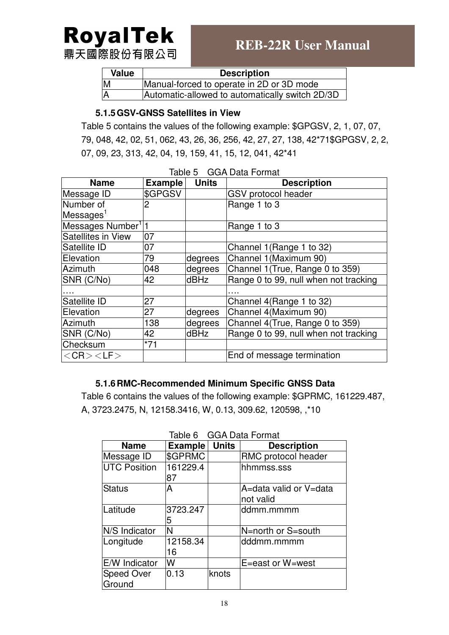# **RoyalTek** 鼎天國際股份有限公司

**REB-22R User Manual** 

| <b>Value</b> | <b>Description</b>                              |
|--------------|-------------------------------------------------|
|              | Manual-forced to operate in 2D or 3D mode       |
|              | Automatic-allowed to automatically switch 2D/3D |

#### **5.1.5 GSV-GNSS Satellites in View**

Table 5 contains the values of the following example: \$GPGSV, 2, 1, 07, 07, 79, 048, 42, 02, 51, 062, 43, 26, 36, 256, 42, 27, 27, 138, 42\*71\$GPGSV, 2, 2, 07, 09, 23, 313, 42, 04, 19, 159, 41, 15, 12, 041, 42\*41

| <b>Name</b>                     | <b>Example</b> | <b>Units</b> | <b>Description</b>                    |
|---------------------------------|----------------|--------------|---------------------------------------|
| Message ID                      | \$GPGSV        |              | <b>GSV</b> protocol header            |
| Number of                       | 2              |              | Range 1 to 3                          |
| Messages <sup>1</sup>           |                |              |                                       |
| Messages Number <sup>1</sup>  1 |                |              | Range 1 to 3                          |
| Satellites in View              | 07             |              |                                       |
| Satellite ID                    | 07             |              | Channel 1 (Range 1 to 32)             |
| Elevation                       | 79             | degrees      | Channel 1 (Maximum 90)                |
| Azimuth                         | 048            | degrees      | Channel 1 (True, Range 0 to 359)      |
| SNR (C/No)                      | 42             | dBHz         | Range 0 to 99, null when not tracking |
|                                 |                |              |                                       |
| Satellite ID                    | 27             |              | Channel 4(Range 1 to 32)              |
| Elevation                       | 27             | degrees      | Channel 4(Maximum 90)                 |
| Azimuth                         | 138            | degrees      | Channel 4(True, Range 0 to 359)       |
| SNR (C/No)                      | 42             | dBHz         | Range 0 to 99, null when not tracking |
| Checksum                        | $*71$          |              |                                       |
| $<$ CR $>$ $<$ LF $>$           |                |              | End of message termination            |

#### **5.1.6 RMC-Recommended Minimum Specific GNSS Data**

Table 6 contains the values of the following example: \$GPRMC, 161229.487, A, 3723.2475, N, 12158.3416, W, 0.13, 309.62, 120598, ,\*10

| <b>Name</b>                 | Example        | <b>Units</b> | <b>Description</b>                  |
|-----------------------------|----------------|--------------|-------------------------------------|
| Message ID                  | \$GPRMC        |              | RMC protocol header                 |
| <b>UTC Position</b>         | 161229.4<br>87 |              | hhmmss.sss                          |
| <b>Status</b>               | A              |              | A=data valid or V=data<br>not valid |
| Latitude                    | 3723.247<br>5  |              | ddmm.mmmm                           |
| N/S Indicator               | N              |              | N=north or S=south                  |
| Longitude                   | 12158.34<br>16 |              | dddmm.mmmm                          |
| E/W Indicator               | W              |              | E=east or W=west                    |
| <b>Speed Over</b><br>Ground | 0.13           | knots        |                                     |

Table 6 GGA Data Format